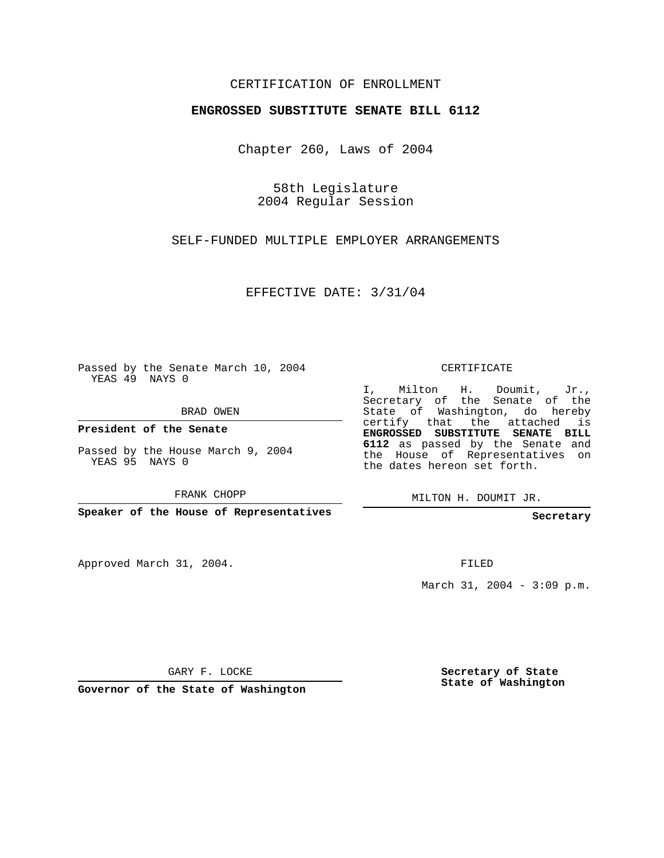## CERTIFICATION OF ENROLLMENT

#### **ENGROSSED SUBSTITUTE SENATE BILL 6112**

Chapter 260, Laws of 2004

58th Legislature 2004 Regular Session

SELF-FUNDED MULTIPLE EMPLOYER ARRANGEMENTS

EFFECTIVE DATE: 3/31/04

Passed by the Senate March 10, 2004 YEAS 49 NAYS 0

BRAD OWEN

**President of the Senate**

Passed by the House March 9, 2004 YEAS 95 NAYS 0

FRANK CHOPP

**Speaker of the House of Representatives**

Approved March 31, 2004.

CERTIFICATE

I, Milton H. Doumit, Jr., Secretary of the Senate of the State of Washington, do hereby certify that the attached is **ENGROSSED SUBSTITUTE SENATE BILL 6112** as passed by the Senate and the House of Representatives on the dates hereon set forth.

MILTON H. DOUMIT JR.

**Secretary**

FILED

March 31, 2004 - 3:09 p.m.

GARY F. LOCKE

**Governor of the State of Washington**

**Secretary of State State of Washington**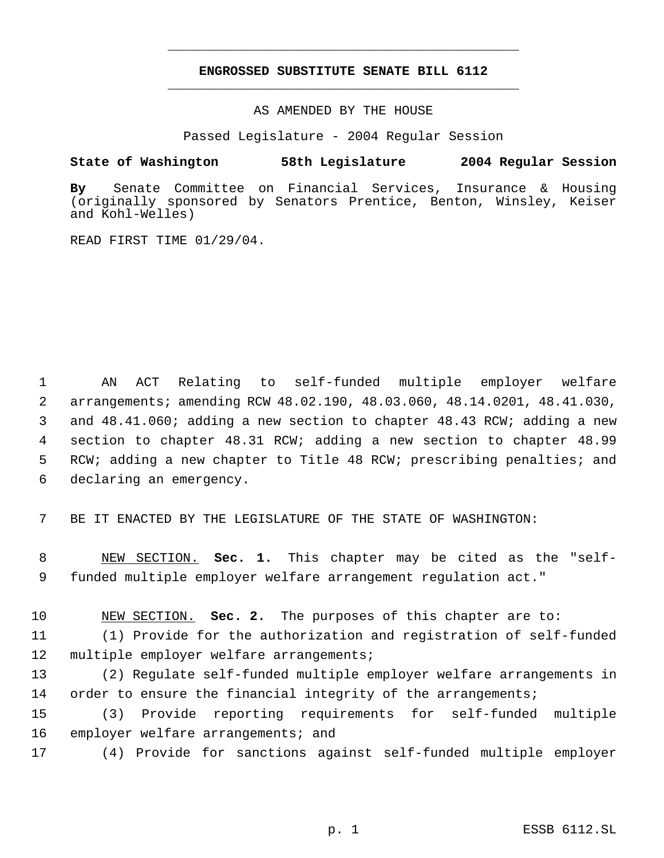# **ENGROSSED SUBSTITUTE SENATE BILL 6112** \_\_\_\_\_\_\_\_\_\_\_\_\_\_\_\_\_\_\_\_\_\_\_\_\_\_\_\_\_\_\_\_\_\_\_\_\_\_\_\_\_\_\_\_\_

\_\_\_\_\_\_\_\_\_\_\_\_\_\_\_\_\_\_\_\_\_\_\_\_\_\_\_\_\_\_\_\_\_\_\_\_\_\_\_\_\_\_\_\_\_

AS AMENDED BY THE HOUSE

Passed Legislature - 2004 Regular Session

### **State of Washington 58th Legislature 2004 Regular Session**

**By** Senate Committee on Financial Services, Insurance & Housing (originally sponsored by Senators Prentice, Benton, Winsley, Keiser and Kohl-Welles)

READ FIRST TIME 01/29/04.

 AN ACT Relating to self-funded multiple employer welfare arrangements; amending RCW 48.02.190, 48.03.060, 48.14.0201, 48.41.030, and 48.41.060; adding a new section to chapter 48.43 RCW; adding a new section to chapter 48.31 RCW; adding a new section to chapter 48.99 RCW; adding a new chapter to Title 48 RCW; prescribing penalties; and declaring an emergency.

7 BE IT ENACTED BY THE LEGISLATURE OF THE STATE OF WASHINGTON:

 8 NEW SECTION. **Sec. 1.** This chapter may be cited as the "self- 9 funded multiple employer welfare arrangement regulation act."

10 NEW SECTION. **Sec. 2.** The purposes of this chapter are to: 11 (1) Provide for the authorization and registration of self-funded

12 multiple employer welfare arrangements; 13 (2) Regulate self-funded multiple employer welfare arrangements in

14 order to ensure the financial integrity of the arrangements;

15 (3) Provide reporting requirements for self-funded multiple 16 employer welfare arrangements; and

17 (4) Provide for sanctions against self-funded multiple employer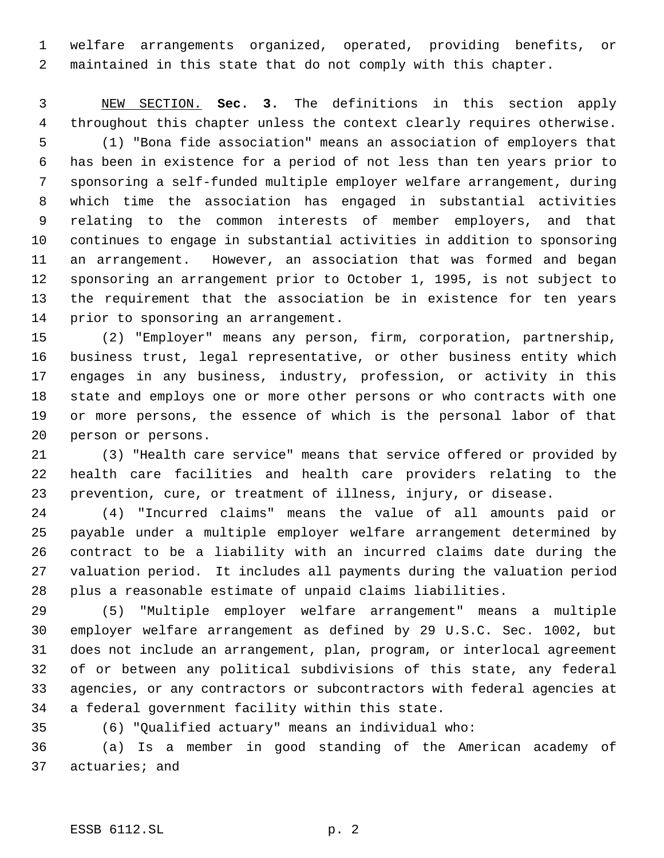welfare arrangements organized, operated, providing benefits, or maintained in this state that do not comply with this chapter.

 NEW SECTION. **Sec. 3.** The definitions in this section apply throughout this chapter unless the context clearly requires otherwise.

 (1) "Bona fide association" means an association of employers that has been in existence for a period of not less than ten years prior to sponsoring a self-funded multiple employer welfare arrangement, during which time the association has engaged in substantial activities relating to the common interests of member employers, and that continues to engage in substantial activities in addition to sponsoring an arrangement. However, an association that was formed and began sponsoring an arrangement prior to October 1, 1995, is not subject to the requirement that the association be in existence for ten years prior to sponsoring an arrangement.

 (2) "Employer" means any person, firm, corporation, partnership, business trust, legal representative, or other business entity which engages in any business, industry, profession, or activity in this state and employs one or more other persons or who contracts with one or more persons, the essence of which is the personal labor of that person or persons.

 (3) "Health care service" means that service offered or provided by health care facilities and health care providers relating to the prevention, cure, or treatment of illness, injury, or disease.

 (4) "Incurred claims" means the value of all amounts paid or payable under a multiple employer welfare arrangement determined by contract to be a liability with an incurred claims date during the valuation period. It includes all payments during the valuation period plus a reasonable estimate of unpaid claims liabilities.

 (5) "Multiple employer welfare arrangement" means a multiple employer welfare arrangement as defined by 29 U.S.C. Sec. 1002, but does not include an arrangement, plan, program, or interlocal agreement of or between any political subdivisions of this state, any federal agencies, or any contractors or subcontractors with federal agencies at a federal government facility within this state.

(6) "Qualified actuary" means an individual who:

 (a) Is a member in good standing of the American academy of actuaries; and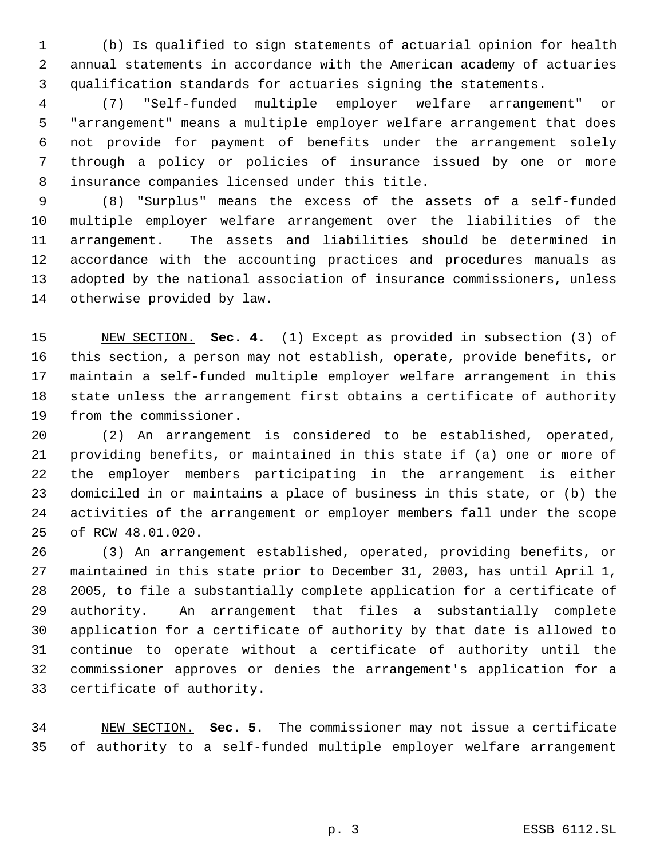(b) Is qualified to sign statements of actuarial opinion for health annual statements in accordance with the American academy of actuaries qualification standards for actuaries signing the statements.

 (7) "Self-funded multiple employer welfare arrangement" or "arrangement" means a multiple employer welfare arrangement that does not provide for payment of benefits under the arrangement solely through a policy or policies of insurance issued by one or more insurance companies licensed under this title.

 (8) "Surplus" means the excess of the assets of a self-funded multiple employer welfare arrangement over the liabilities of the arrangement. The assets and liabilities should be determined in accordance with the accounting practices and procedures manuals as adopted by the national association of insurance commissioners, unless otherwise provided by law.

 NEW SECTION. **Sec. 4.** (1) Except as provided in subsection (3) of this section, a person may not establish, operate, provide benefits, or maintain a self-funded multiple employer welfare arrangement in this state unless the arrangement first obtains a certificate of authority from the commissioner.

 (2) An arrangement is considered to be established, operated, providing benefits, or maintained in this state if (a) one or more of the employer members participating in the arrangement is either domiciled in or maintains a place of business in this state, or (b) the activities of the arrangement or employer members fall under the scope of RCW 48.01.020.

 (3) An arrangement established, operated, providing benefits, or maintained in this state prior to December 31, 2003, has until April 1, 2005, to file a substantially complete application for a certificate of authority. An arrangement that files a substantially complete application for a certificate of authority by that date is allowed to continue to operate without a certificate of authority until the commissioner approves or denies the arrangement's application for a certificate of authority.

 NEW SECTION. **Sec. 5.** The commissioner may not issue a certificate of authority to a self-funded multiple employer welfare arrangement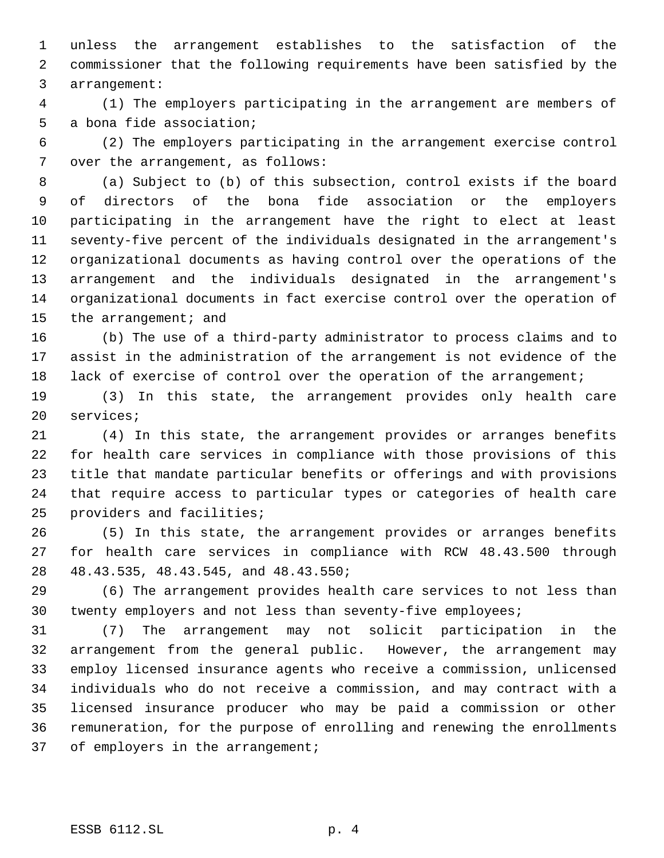unless the arrangement establishes to the satisfaction of the commissioner that the following requirements have been satisfied by the arrangement:

 (1) The employers participating in the arrangement are members of a bona fide association;

 (2) The employers participating in the arrangement exercise control 7 over the arrangement, as follows:

 (a) Subject to (b) of this subsection, control exists if the board of directors of the bona fide association or the employers participating in the arrangement have the right to elect at least seventy-five percent of the individuals designated in the arrangement's organizational documents as having control over the operations of the arrangement and the individuals designated in the arrangement's organizational documents in fact exercise control over the operation of 15 the arrangement; and

 (b) The use of a third-party administrator to process claims and to assist in the administration of the arrangement is not evidence of the 18 lack of exercise of control over the operation of the arrangement;

 (3) In this state, the arrangement provides only health care services;

 (4) In this state, the arrangement provides or arranges benefits for health care services in compliance with those provisions of this title that mandate particular benefits or offerings and with provisions that require access to particular types or categories of health care providers and facilities;

 (5) In this state, the arrangement provides or arranges benefits for health care services in compliance with RCW 48.43.500 through 48.43.535, 48.43.545, and 48.43.550;

 (6) The arrangement provides health care services to not less than twenty employers and not less than seventy-five employees;

 (7) The arrangement may not solicit participation in the arrangement from the general public. However, the arrangement may employ licensed insurance agents who receive a commission, unlicensed individuals who do not receive a commission, and may contract with a licensed insurance producer who may be paid a commission or other remuneration, for the purpose of enrolling and renewing the enrollments 37 of employers in the arrangement;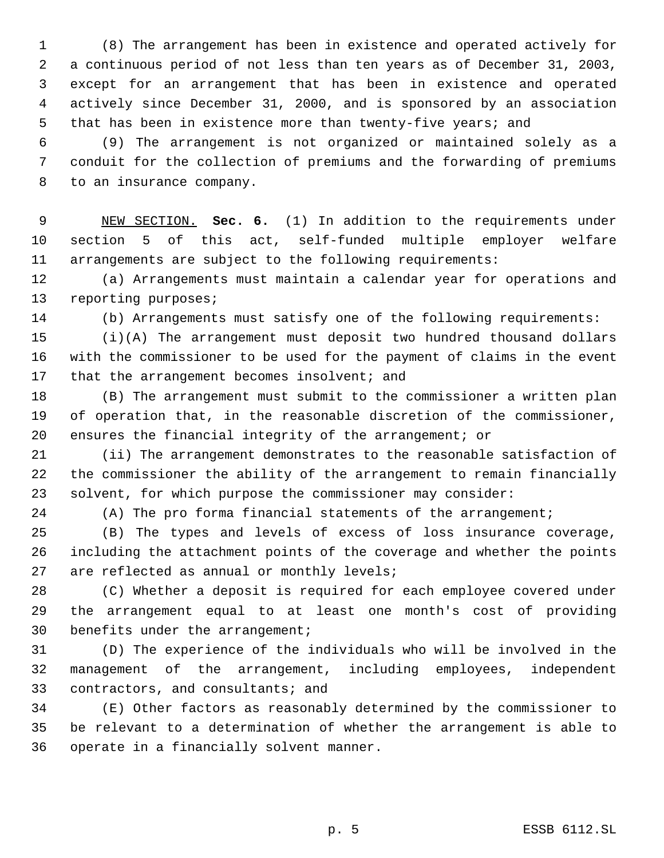(8) The arrangement has been in existence and operated actively for a continuous period of not less than ten years as of December 31, 2003, except for an arrangement that has been in existence and operated actively since December 31, 2000, and is sponsored by an association that has been in existence more than twenty-five years; and

 (9) The arrangement is not organized or maintained solely as a conduit for the collection of premiums and the forwarding of premiums to an insurance company.

 NEW SECTION. **Sec. 6.** (1) In addition to the requirements under section 5 of this act, self-funded multiple employer welfare arrangements are subject to the following requirements:

 (a) Arrangements must maintain a calendar year for operations and reporting purposes;

(b) Arrangements must satisfy one of the following requirements:

 (i)(A) The arrangement must deposit two hundred thousand dollars with the commissioner to be used for the payment of claims in the event 17 that the arrangement becomes insolvent; and

 (B) The arrangement must submit to the commissioner a written plan of operation that, in the reasonable discretion of the commissioner, ensures the financial integrity of the arrangement; or

 (ii) The arrangement demonstrates to the reasonable satisfaction of the commissioner the ability of the arrangement to remain financially solvent, for which purpose the commissioner may consider:

(A) The pro forma financial statements of the arrangement;

 (B) The types and levels of excess of loss insurance coverage, including the attachment points of the coverage and whether the points are reflected as annual or monthly levels;

 (C) Whether a deposit is required for each employee covered under the arrangement equal to at least one month's cost of providing benefits under the arrangement;

 (D) The experience of the individuals who will be involved in the management of the arrangement, including employees, independent contractors, and consultants; and

 (E) Other factors as reasonably determined by the commissioner to be relevant to a determination of whether the arrangement is able to operate in a financially solvent manner.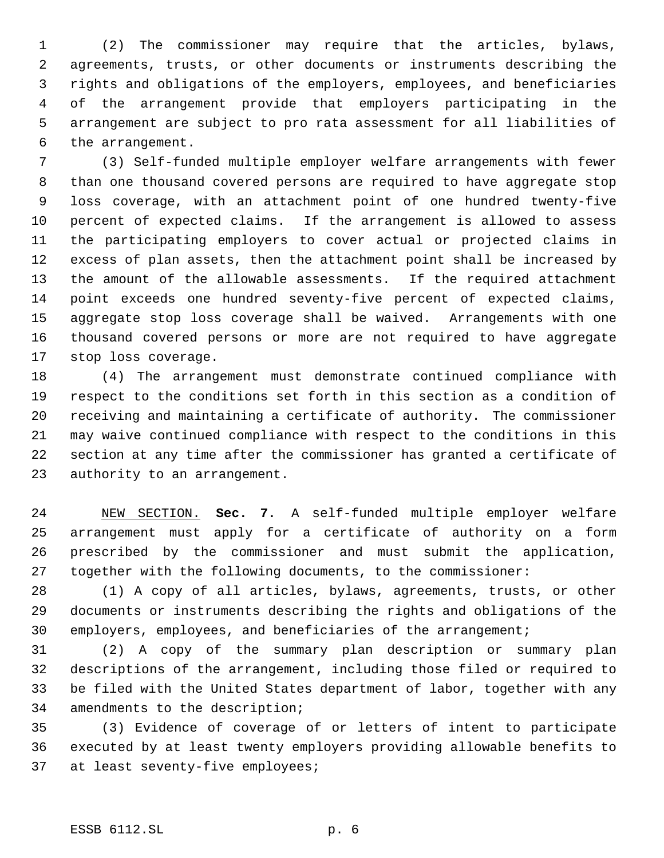(2) The commissioner may require that the articles, bylaws, agreements, trusts, or other documents or instruments describing the rights and obligations of the employers, employees, and beneficiaries of the arrangement provide that employers participating in the arrangement are subject to pro rata assessment for all liabilities of the arrangement.

 (3) Self-funded multiple employer welfare arrangements with fewer than one thousand covered persons are required to have aggregate stop loss coverage, with an attachment point of one hundred twenty-five percent of expected claims. If the arrangement is allowed to assess the participating employers to cover actual or projected claims in excess of plan assets, then the attachment point shall be increased by the amount of the allowable assessments. If the required attachment point exceeds one hundred seventy-five percent of expected claims, aggregate stop loss coverage shall be waived. Arrangements with one thousand covered persons or more are not required to have aggregate stop loss coverage.

 (4) The arrangement must demonstrate continued compliance with respect to the conditions set forth in this section as a condition of receiving and maintaining a certificate of authority. The commissioner may waive continued compliance with respect to the conditions in this section at any time after the commissioner has granted a certificate of authority to an arrangement.

 NEW SECTION. **Sec. 7.** A self-funded multiple employer welfare arrangement must apply for a certificate of authority on a form prescribed by the commissioner and must submit the application, together with the following documents, to the commissioner:

 (1) A copy of all articles, bylaws, agreements, trusts, or other documents or instruments describing the rights and obligations of the employers, employees, and beneficiaries of the arrangement;

 (2) A copy of the summary plan description or summary plan descriptions of the arrangement, including those filed or required to be filed with the United States department of labor, together with any amendments to the description;

 (3) Evidence of coverage of or letters of intent to participate executed by at least twenty employers providing allowable benefits to at least seventy-five employees;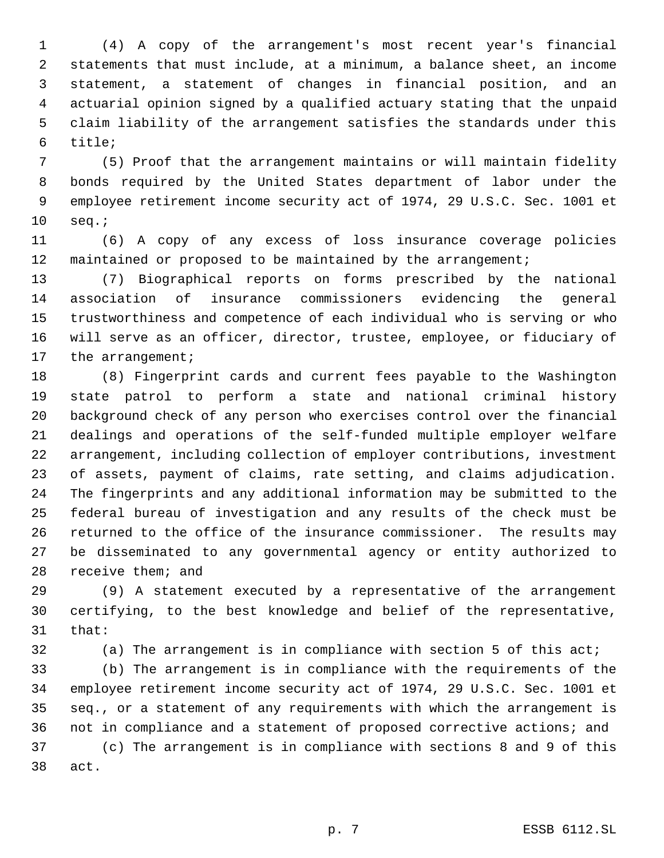(4) A copy of the arrangement's most recent year's financial statements that must include, at a minimum, a balance sheet, an income statement, a statement of changes in financial position, and an actuarial opinion signed by a qualified actuary stating that the unpaid claim liability of the arrangement satisfies the standards under this title;

 (5) Proof that the arrangement maintains or will maintain fidelity bonds required by the United States department of labor under the employee retirement income security act of 1974, 29 U.S.C. Sec. 1001 et seq.;

 (6) A copy of any excess of loss insurance coverage policies maintained or proposed to be maintained by the arrangement;

 (7) Biographical reports on forms prescribed by the national association of insurance commissioners evidencing the general trustworthiness and competence of each individual who is serving or who will serve as an officer, director, trustee, employee, or fiduciary of 17 the arrangement;

 (8) Fingerprint cards and current fees payable to the Washington state patrol to perform a state and national criminal history background check of any person who exercises control over the financial dealings and operations of the self-funded multiple employer welfare arrangement, including collection of employer contributions, investment of assets, payment of claims, rate setting, and claims adjudication. The fingerprints and any additional information may be submitted to the federal bureau of investigation and any results of the check must be returned to the office of the insurance commissioner. The results may be disseminated to any governmental agency or entity authorized to receive them; and

 (9) A statement executed by a representative of the arrangement certifying, to the best knowledge and belief of the representative, that:

(a) The arrangement is in compliance with section 5 of this act;

 (b) The arrangement is in compliance with the requirements of the employee retirement income security act of 1974, 29 U.S.C. Sec. 1001 et seq., or a statement of any requirements with which the arrangement is not in compliance and a statement of proposed corrective actions; and (c) The arrangement is in compliance with sections 8 and 9 of this act.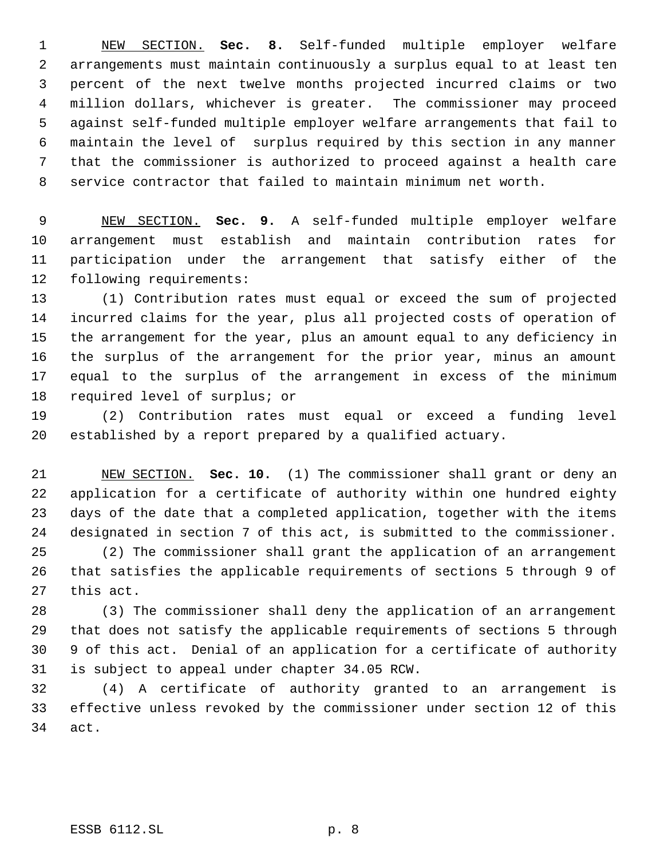NEW SECTION. **Sec. 8.** Self-funded multiple employer welfare arrangements must maintain continuously a surplus equal to at least ten percent of the next twelve months projected incurred claims or two million dollars, whichever is greater. The commissioner may proceed against self-funded multiple employer welfare arrangements that fail to maintain the level of surplus required by this section in any manner that the commissioner is authorized to proceed against a health care service contractor that failed to maintain minimum net worth.

 NEW SECTION. **Sec. 9.** A self-funded multiple employer welfare arrangement must establish and maintain contribution rates for participation under the arrangement that satisfy either of the following requirements:

 (1) Contribution rates must equal or exceed the sum of projected incurred claims for the year, plus all projected costs of operation of the arrangement for the year, plus an amount equal to any deficiency in the surplus of the arrangement for the prior year, minus an amount equal to the surplus of the arrangement in excess of the minimum required level of surplus; or

 (2) Contribution rates must equal or exceed a funding level established by a report prepared by a qualified actuary.

 NEW SECTION. **Sec. 10.** (1) The commissioner shall grant or deny an application for a certificate of authority within one hundred eighty days of the date that a completed application, together with the items designated in section 7 of this act, is submitted to the commissioner. (2) The commissioner shall grant the application of an arrangement

 that satisfies the applicable requirements of sections 5 through 9 of this act.

 (3) The commissioner shall deny the application of an arrangement that does not satisfy the applicable requirements of sections 5 through 9 of this act. Denial of an application for a certificate of authority is subject to appeal under chapter 34.05 RCW.

 (4) A certificate of authority granted to an arrangement is effective unless revoked by the commissioner under section 12 of this act.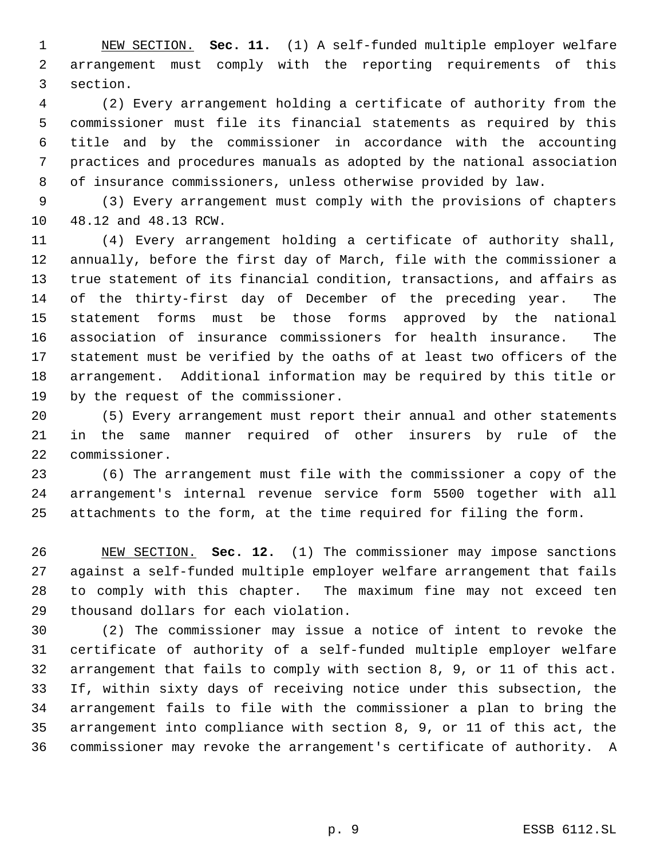NEW SECTION. **Sec. 11.** (1) A self-funded multiple employer welfare arrangement must comply with the reporting requirements of this section.

 (2) Every arrangement holding a certificate of authority from the commissioner must file its financial statements as required by this title and by the commissioner in accordance with the accounting practices and procedures manuals as adopted by the national association of insurance commissioners, unless otherwise provided by law.

 (3) Every arrangement must comply with the provisions of chapters 48.12 and 48.13 RCW.

 (4) Every arrangement holding a certificate of authority shall, annually, before the first day of March, file with the commissioner a true statement of its financial condition, transactions, and affairs as of the thirty-first day of December of the preceding year. The statement forms must be those forms approved by the national association of insurance commissioners for health insurance. The statement must be verified by the oaths of at least two officers of the arrangement. Additional information may be required by this title or by the request of the commissioner.

 (5) Every arrangement must report their annual and other statements in the same manner required of other insurers by rule of the commissioner.

 (6) The arrangement must file with the commissioner a copy of the arrangement's internal revenue service form 5500 together with all attachments to the form, at the time required for filing the form.

 NEW SECTION. **Sec. 12.** (1) The commissioner may impose sanctions against a self-funded multiple employer welfare arrangement that fails to comply with this chapter. The maximum fine may not exceed ten thousand dollars for each violation.

 (2) The commissioner may issue a notice of intent to revoke the certificate of authority of a self-funded multiple employer welfare arrangement that fails to comply with section 8, 9, or 11 of this act. If, within sixty days of receiving notice under this subsection, the arrangement fails to file with the commissioner a plan to bring the arrangement into compliance with section 8, 9, or 11 of this act, the commissioner may revoke the arrangement's certificate of authority. A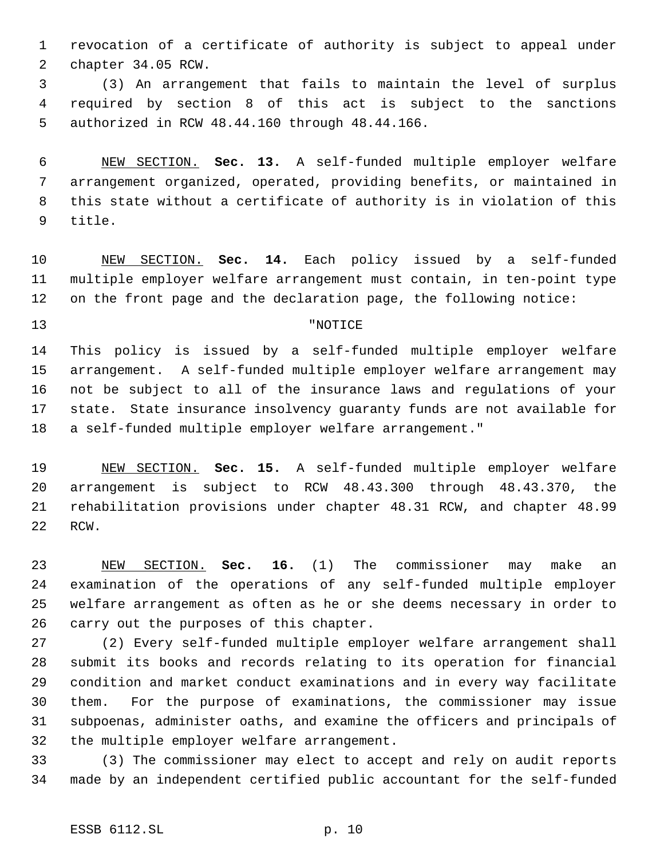revocation of a certificate of authority is subject to appeal under chapter 34.05 RCW.

 (3) An arrangement that fails to maintain the level of surplus required by section 8 of this act is subject to the sanctions authorized in RCW 48.44.160 through 48.44.166.

 NEW SECTION. **Sec. 13.** A self-funded multiple employer welfare arrangement organized, operated, providing benefits, or maintained in this state without a certificate of authority is in violation of this title.

 NEW SECTION. **Sec. 14.** Each policy issued by a self-funded multiple employer welfare arrangement must contain, in ten-point type on the front page and the declaration page, the following notice:

### "NOTICE

 This policy is issued by a self-funded multiple employer welfare arrangement. A self-funded multiple employer welfare arrangement may not be subject to all of the insurance laws and regulations of your state. State insurance insolvency guaranty funds are not available for a self-funded multiple employer welfare arrangement."

 NEW SECTION. **Sec. 15.** A self-funded multiple employer welfare arrangement is subject to RCW 48.43.300 through 48.43.370, the rehabilitation provisions under chapter 48.31 RCW, and chapter 48.99 RCW.

 NEW SECTION. **Sec. 16.** (1) The commissioner may make an examination of the operations of any self-funded multiple employer welfare arrangement as often as he or she deems necessary in order to carry out the purposes of this chapter.

 (2) Every self-funded multiple employer welfare arrangement shall submit its books and records relating to its operation for financial condition and market conduct examinations and in every way facilitate them. For the purpose of examinations, the commissioner may issue subpoenas, administer oaths, and examine the officers and principals of the multiple employer welfare arrangement.

 (3) The commissioner may elect to accept and rely on audit reports made by an independent certified public accountant for the self-funded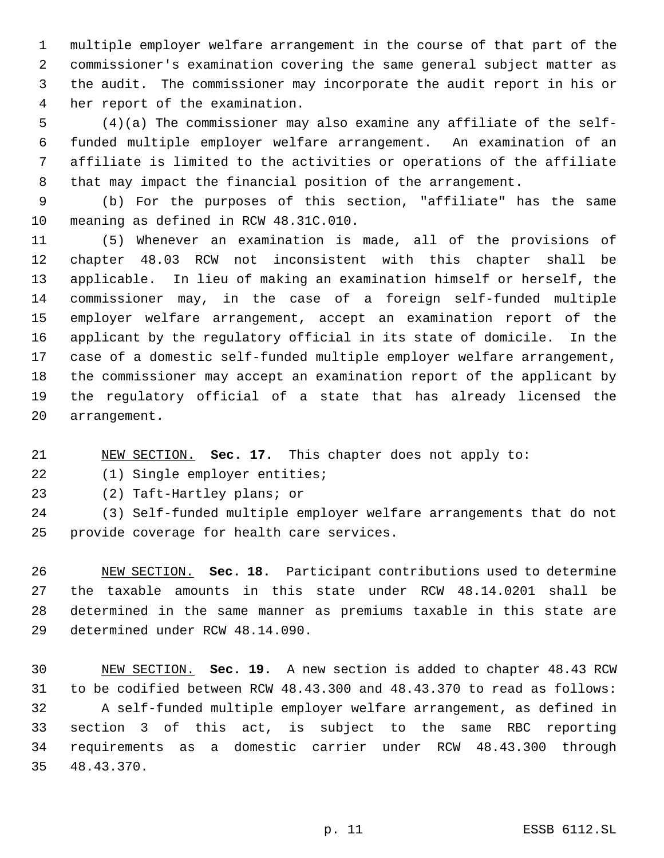multiple employer welfare arrangement in the course of that part of the commissioner's examination covering the same general subject matter as the audit. The commissioner may incorporate the audit report in his or her report of the examination.

 (4)(a) The commissioner may also examine any affiliate of the self- funded multiple employer welfare arrangement. An examination of an affiliate is limited to the activities or operations of the affiliate that may impact the financial position of the arrangement.

 (b) For the purposes of this section, "affiliate" has the same meaning as defined in RCW 48.31C.010.

 (5) Whenever an examination is made, all of the provisions of chapter 48.03 RCW not inconsistent with this chapter shall be applicable. In lieu of making an examination himself or herself, the commissioner may, in the case of a foreign self-funded multiple employer welfare arrangement, accept an examination report of the applicant by the regulatory official in its state of domicile. In the case of a domestic self-funded multiple employer welfare arrangement, the commissioner may accept an examination report of the applicant by the regulatory official of a state that has already licensed the arrangement.

NEW SECTION. **Sec. 17.** This chapter does not apply to:

(1) Single employer entities;

(2) Taft-Hartley plans; or

 (3) Self-funded multiple employer welfare arrangements that do not provide coverage for health care services.

 NEW SECTION. **Sec. 18.** Participant contributions used to determine the taxable amounts in this state under RCW 48.14.0201 shall be determined in the same manner as premiums taxable in this state are determined under RCW 48.14.090.

 NEW SECTION. **Sec. 19.** A new section is added to chapter 48.43 RCW to be codified between RCW 48.43.300 and 48.43.370 to read as follows: A self-funded multiple employer welfare arrangement, as defined in section 3 of this act, is subject to the same RBC reporting requirements as a domestic carrier under RCW 48.43.300 through 48.43.370.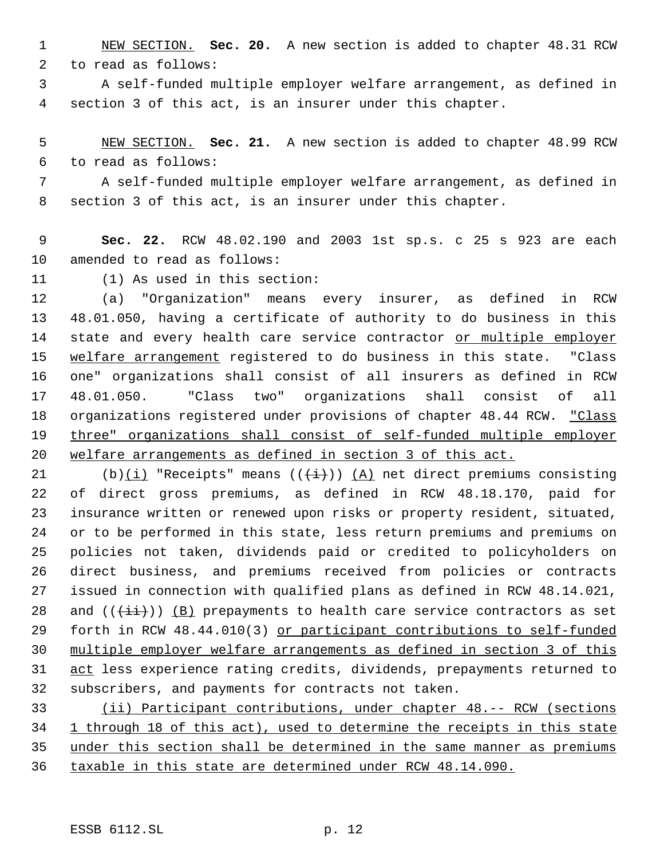NEW SECTION. **Sec. 20.** A new section is added to chapter 48.31 RCW to read as follows:

 A self-funded multiple employer welfare arrangement, as defined in section 3 of this act, is an insurer under this chapter.

 NEW SECTION. **Sec. 21.** A new section is added to chapter 48.99 RCW to read as follows:

 A self-funded multiple employer welfare arrangement, as defined in section 3 of this act, is an insurer under this chapter.

 **Sec. 22.** RCW 48.02.190 and 2003 1st sp.s. c 25 s 923 are each amended to read as follows:

(1) As used in this section:

 (a) "Organization" means every insurer, as defined in RCW 48.01.050, having a certificate of authority to do business in this 14 state and every health care service contractor or multiple employer 15 welfare arrangement registered to do business in this state. "Class one" organizations shall consist of all insurers as defined in RCW 48.01.050. "Class two" organizations shall consist of all 18 organizations registered under provisions of chapter 48.44 RCW. "Class three" organizations shall consist of self-funded multiple employer welfare arrangements as defined in section 3 of this act.

21 (b)(i) "Receipts" means  $((+i))$  (A) net direct premiums consisting of direct gross premiums, as defined in RCW 48.18.170, paid for insurance written or renewed upon risks or property resident, situated, or to be performed in this state, less return premiums and premiums on policies not taken, dividends paid or credited to policyholders on direct business, and premiums received from policies or contracts issued in connection with qualified plans as defined in RCW 48.14.021, 28 and  $((\overleftrightarrow{\pm\dot{\pm}}))$  (B) prepayments to health care service contractors as set forth in RCW 48.44.010(3) or participant contributions to self-funded multiple employer welfare arrangements as defined in section 3 of this act less experience rating credits, dividends, prepayments returned to subscribers, and payments for contracts not taken.

 (ii) Participant contributions, under chapter 48.-- RCW (sections 1 through 18 of this act), used to determine the receipts in this state under this section shall be determined in the same manner as premiums taxable in this state are determined under RCW 48.14.090.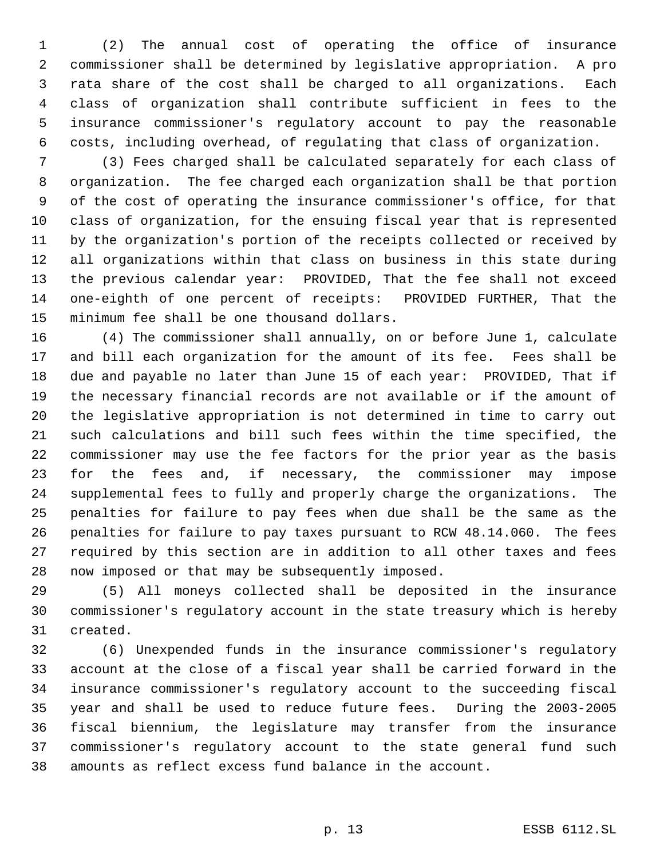(2) The annual cost of operating the office of insurance commissioner shall be determined by legislative appropriation. A pro rata share of the cost shall be charged to all organizations. Each class of organization shall contribute sufficient in fees to the insurance commissioner's regulatory account to pay the reasonable costs, including overhead, of regulating that class of organization.

 (3) Fees charged shall be calculated separately for each class of organization. The fee charged each organization shall be that portion of the cost of operating the insurance commissioner's office, for that class of organization, for the ensuing fiscal year that is represented by the organization's portion of the receipts collected or received by all organizations within that class on business in this state during the previous calendar year: PROVIDED, That the fee shall not exceed one-eighth of one percent of receipts: PROVIDED FURTHER, That the minimum fee shall be one thousand dollars.

 (4) The commissioner shall annually, on or before June 1, calculate and bill each organization for the amount of its fee. Fees shall be due and payable no later than June 15 of each year: PROVIDED, That if the necessary financial records are not available or if the amount of the legislative appropriation is not determined in time to carry out such calculations and bill such fees within the time specified, the commissioner may use the fee factors for the prior year as the basis for the fees and, if necessary, the commissioner may impose supplemental fees to fully and properly charge the organizations. The penalties for failure to pay fees when due shall be the same as the penalties for failure to pay taxes pursuant to RCW 48.14.060. The fees required by this section are in addition to all other taxes and fees now imposed or that may be subsequently imposed.

 (5) All moneys collected shall be deposited in the insurance commissioner's regulatory account in the state treasury which is hereby created.

 (6) Unexpended funds in the insurance commissioner's regulatory account at the close of a fiscal year shall be carried forward in the insurance commissioner's regulatory account to the succeeding fiscal year and shall be used to reduce future fees. During the 2003-2005 fiscal biennium, the legislature may transfer from the insurance commissioner's regulatory account to the state general fund such amounts as reflect excess fund balance in the account.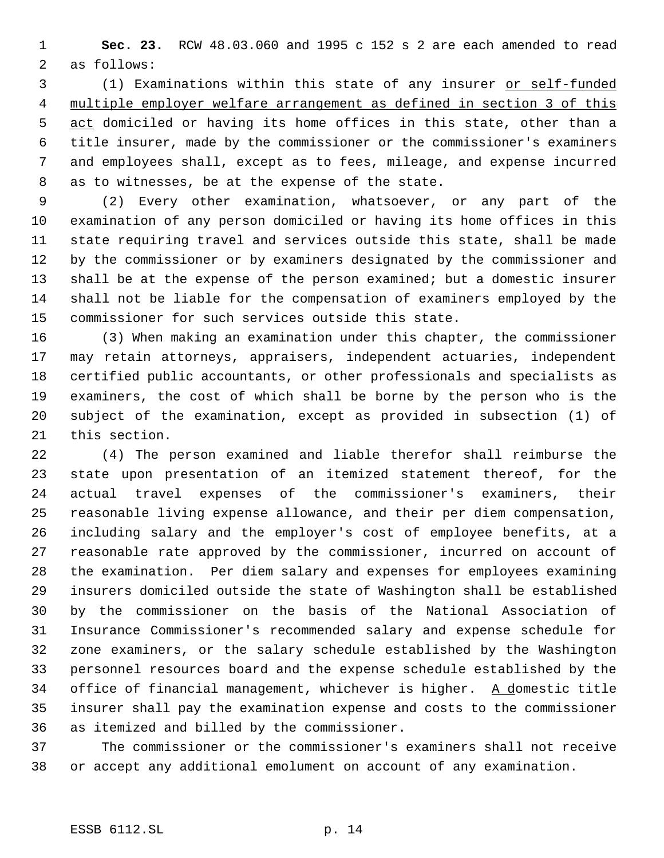**Sec. 23.** RCW 48.03.060 and 1995 c 152 s 2 are each amended to read as follows:

 (1) Examinations within this state of any insurer or self-funded multiple employer welfare arrangement as defined in section 3 of this 5 act domiciled or having its home offices in this state, other than a title insurer, made by the commissioner or the commissioner's examiners and employees shall, except as to fees, mileage, and expense incurred as to witnesses, be at the expense of the state.

 (2) Every other examination, whatsoever, or any part of the examination of any person domiciled or having its home offices in this state requiring travel and services outside this state, shall be made by the commissioner or by examiners designated by the commissioner and shall be at the expense of the person examined; but a domestic insurer shall not be liable for the compensation of examiners employed by the commissioner for such services outside this state.

 (3) When making an examination under this chapter, the commissioner may retain attorneys, appraisers, independent actuaries, independent certified public accountants, or other professionals and specialists as examiners, the cost of which shall be borne by the person who is the subject of the examination, except as provided in subsection (1) of this section.

 (4) The person examined and liable therefor shall reimburse the state upon presentation of an itemized statement thereof, for the actual travel expenses of the commissioner's examiners, their reasonable living expense allowance, and their per diem compensation, including salary and the employer's cost of employee benefits, at a reasonable rate approved by the commissioner, incurred on account of the examination. Per diem salary and expenses for employees examining insurers domiciled outside the state of Washington shall be established by the commissioner on the basis of the National Association of Insurance Commissioner's recommended salary and expense schedule for zone examiners, or the salary schedule established by the Washington personnel resources board and the expense schedule established by the 34 office of financial management, whichever is higher. A domestic title insurer shall pay the examination expense and costs to the commissioner as itemized and billed by the commissioner.

 The commissioner or the commissioner's examiners shall not receive or accept any additional emolument on account of any examination.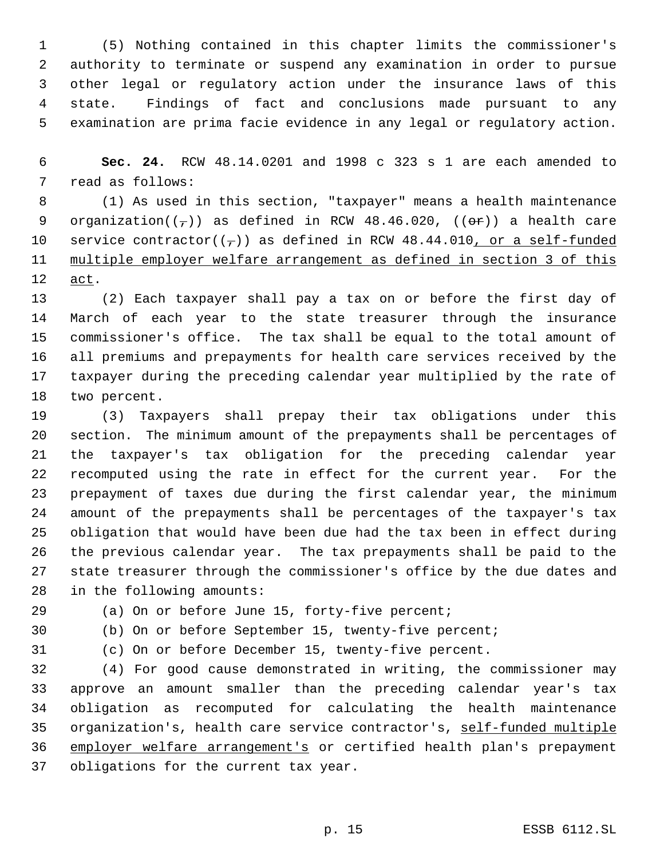(5) Nothing contained in this chapter limits the commissioner's authority to terminate or suspend any examination in order to pursue other legal or regulatory action under the insurance laws of this state. Findings of fact and conclusions made pursuant to any examination are prima facie evidence in any legal or regulatory action.

 **Sec. 24.** RCW 48.14.0201 and 1998 c 323 s 1 are each amended to read as follows:

 (1) As used in this section, "taxpayer" means a health maintenance 9 organization( $(\tau)$ ) as defined in RCW 48.46.020, (( $\Theta$ r)) a health care 10 service contractor( $(\tau)$ ) as defined in RCW 48.44.010, or a self-funded multiple employer welfare arrangement as defined in section 3 of this act.

 (2) Each taxpayer shall pay a tax on or before the first day of March of each year to the state treasurer through the insurance commissioner's office. The tax shall be equal to the total amount of all premiums and prepayments for health care services received by the taxpayer during the preceding calendar year multiplied by the rate of two percent.

 (3) Taxpayers shall prepay their tax obligations under this section. The minimum amount of the prepayments shall be percentages of the taxpayer's tax obligation for the preceding calendar year recomputed using the rate in effect for the current year. For the prepayment of taxes due during the first calendar year, the minimum amount of the prepayments shall be percentages of the taxpayer's tax obligation that would have been due had the tax been in effect during the previous calendar year. The tax prepayments shall be paid to the state treasurer through the commissioner's office by the due dates and in the following amounts:

(a) On or before June 15, forty-five percent;

(b) On or before September 15, twenty-five percent;

(c) On or before December 15, twenty-five percent.

 (4) For good cause demonstrated in writing, the commissioner may approve an amount smaller than the preceding calendar year's tax obligation as recomputed for calculating the health maintenance organization's, health care service contractor's, self-funded multiple employer welfare arrangement's or certified health plan's prepayment obligations for the current tax year.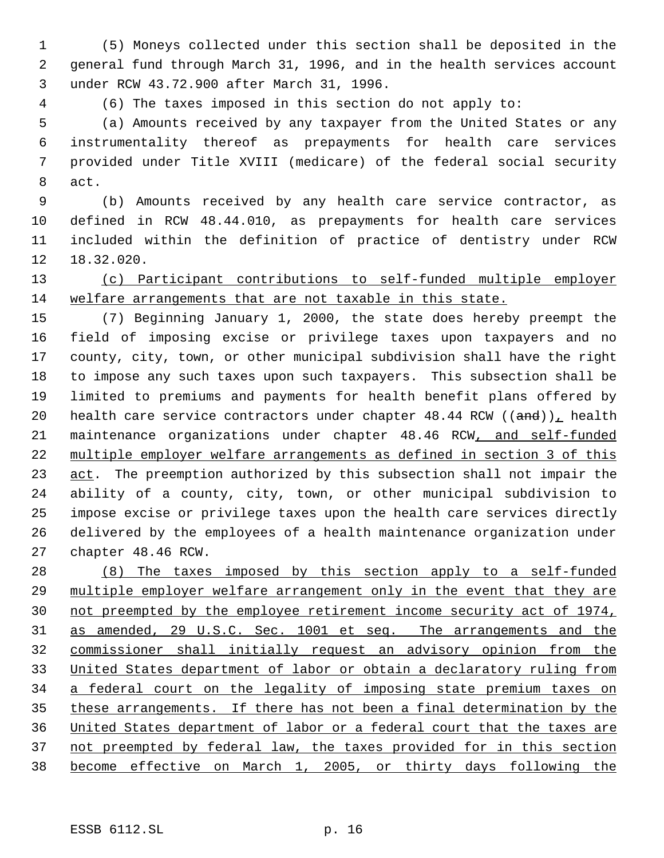(5) Moneys collected under this section shall be deposited in the general fund through March 31, 1996, and in the health services account under RCW 43.72.900 after March 31, 1996.

(6) The taxes imposed in this section do not apply to:

 (a) Amounts received by any taxpayer from the United States or any instrumentality thereof as prepayments for health care services provided under Title XVIII (medicare) of the federal social security act.

 (b) Amounts received by any health care service contractor, as defined in RCW 48.44.010, as prepayments for health care services included within the definition of practice of dentistry under RCW 18.32.020.

 (c) Participant contributions to self-funded multiple employer welfare arrangements that are not taxable in this state.

 (7) Beginning January 1, 2000, the state does hereby preempt the field of imposing excise or privilege taxes upon taxpayers and no county, city, town, or other municipal subdivision shall have the right to impose any such taxes upon such taxpayers. This subsection shall be limited to premiums and payments for health benefit plans offered by 20 health care service contractors under chapter 48.44 RCW  $((and))_L$  health maintenance organizations under chapter 48.46 RCW, and self-funded multiple employer welfare arrangements as defined in section 3 of this 23 act. The preemption authorized by this subsection shall not impair the ability of a county, city, town, or other municipal subdivision to impose excise or privilege taxes upon the health care services directly delivered by the employees of a health maintenance organization under chapter 48.46 RCW.

 (8) The taxes imposed by this section apply to a self-funded multiple employer welfare arrangement only in the event that they are not preempted by the employee retirement income security act of 1974, as amended, 29 U.S.C. Sec. 1001 et seq. The arrangements and the commissioner shall initially request an advisory opinion from the United States department of labor or obtain a declaratory ruling from 34 a federal court on the legality of imposing state premium taxes on these arrangements. If there has not been a final determination by the United States department of labor or a federal court that the taxes are not preempted by federal law, the taxes provided for in this section become effective on March 1, 2005, or thirty days following the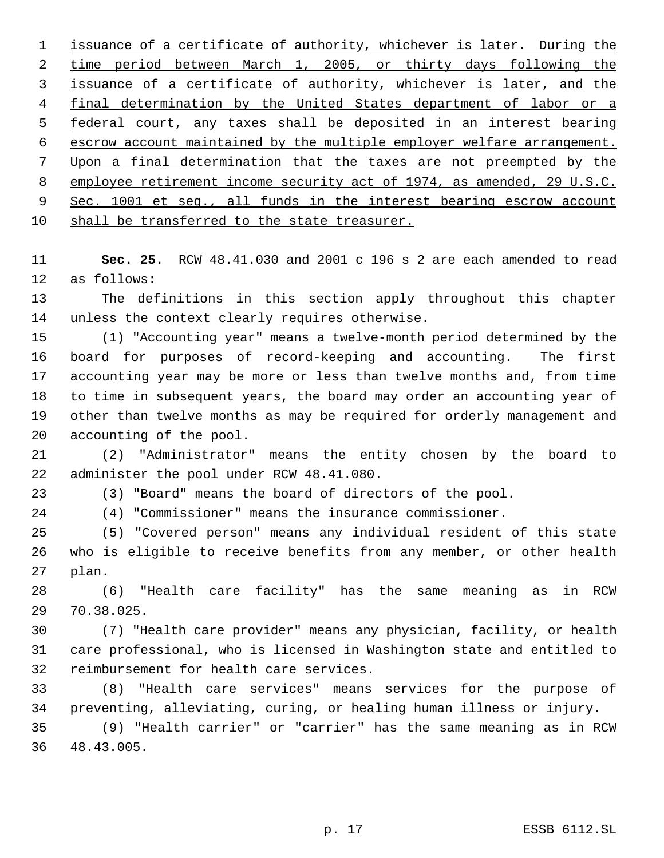issuance of a certificate of authority, whichever is later. During the time period between March 1, 2005, or thirty days following the issuance of a certificate of authority, whichever is later, and the 4 final determination by the United States department of labor or a federal court, any taxes shall be deposited in an interest bearing escrow account maintained by the multiple employer welfare arrangement. Upon a final determination that the taxes are not preempted by the employee retirement income security act of 1974, as amended, 29 U.S.C. 9 Sec. 1001 et seq., all funds in the interest bearing escrow account shall be transferred to the state treasurer.

 **Sec. 25.** RCW 48.41.030 and 2001 c 196 s 2 are each amended to read as follows:

 The definitions in this section apply throughout this chapter unless the context clearly requires otherwise.

 (1) "Accounting year" means a twelve-month period determined by the board for purposes of record-keeping and accounting. The first accounting year may be more or less than twelve months and, from time to time in subsequent years, the board may order an accounting year of other than twelve months as may be required for orderly management and accounting of the pool.

 (2) "Administrator" means the entity chosen by the board to administer the pool under RCW 48.41.080.

(3) "Board" means the board of directors of the pool.

(4) "Commissioner" means the insurance commissioner.

 (5) "Covered person" means any individual resident of this state who is eligible to receive benefits from any member, or other health plan.

 (6) "Health care facility" has the same meaning as in RCW 70.38.025.

 (7) "Health care provider" means any physician, facility, or health care professional, who is licensed in Washington state and entitled to reimbursement for health care services.

 (8) "Health care services" means services for the purpose of preventing, alleviating, curing, or healing human illness or injury.

 (9) "Health carrier" or "carrier" has the same meaning as in RCW 48.43.005.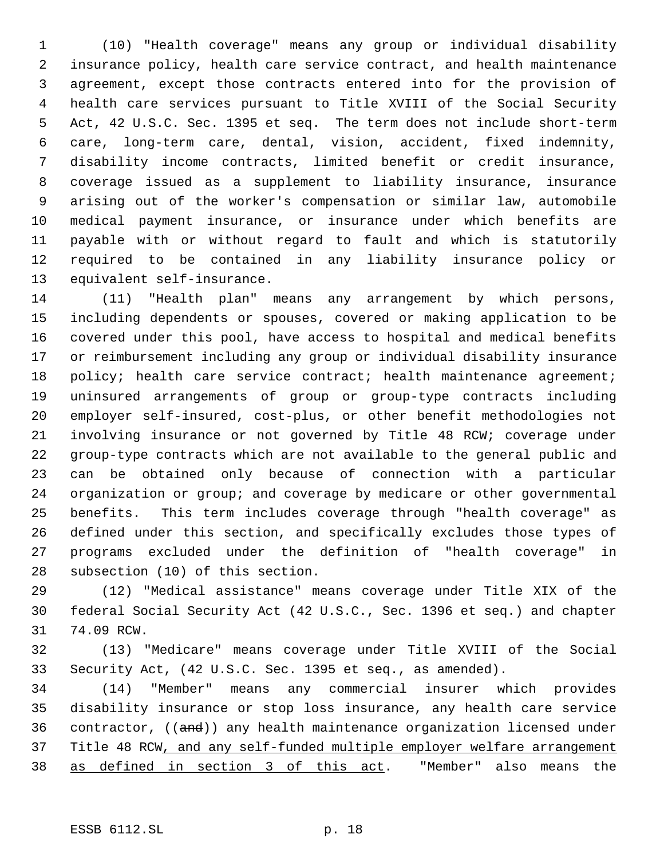(10) "Health coverage" means any group or individual disability insurance policy, health care service contract, and health maintenance agreement, except those contracts entered into for the provision of health care services pursuant to Title XVIII of the Social Security Act, 42 U.S.C. Sec. 1395 et seq. The term does not include short-term care, long-term care, dental, vision, accident, fixed indemnity, disability income contracts, limited benefit or credit insurance, coverage issued as a supplement to liability insurance, insurance arising out of the worker's compensation or similar law, automobile medical payment insurance, or insurance under which benefits are payable with or without regard to fault and which is statutorily required to be contained in any liability insurance policy or equivalent self-insurance.

 (11) "Health plan" means any arrangement by which persons, including dependents or spouses, covered or making application to be covered under this pool, have access to hospital and medical benefits or reimbursement including any group or individual disability insurance 18 policy; health care service contract; health maintenance agreement; uninsured arrangements of group or group-type contracts including employer self-insured, cost-plus, or other benefit methodologies not involving insurance or not governed by Title 48 RCW; coverage under group-type contracts which are not available to the general public and can be obtained only because of connection with a particular organization or group; and coverage by medicare or other governmental benefits. This term includes coverage through "health coverage" as defined under this section, and specifically excludes those types of programs excluded under the definition of "health coverage" in subsection (10) of this section.

 (12) "Medical assistance" means coverage under Title XIX of the federal Social Security Act (42 U.S.C., Sec. 1396 et seq.) and chapter 74.09 RCW.

 (13) "Medicare" means coverage under Title XVIII of the Social Security Act, (42 U.S.C. Sec. 1395 et seq., as amended).

 (14) "Member" means any commercial insurer which provides disability insurance or stop loss insurance, any health care service 36 contractor, ((and)) any health maintenance organization licensed under 37 Title 48 RCW, and any self-funded multiple employer welfare arrangement as defined in section 3 of this act. "Member" also means the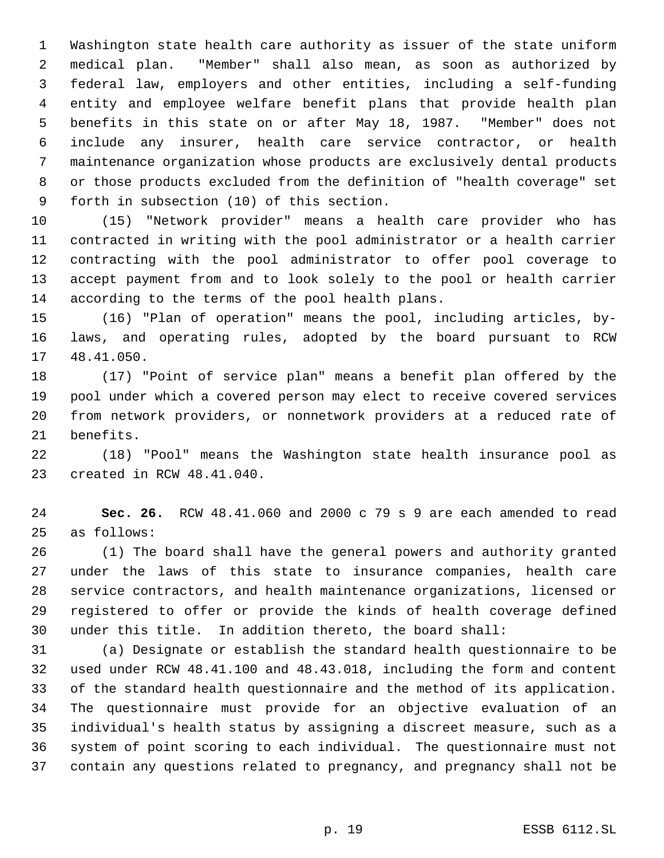Washington state health care authority as issuer of the state uniform medical plan. "Member" shall also mean, as soon as authorized by federal law, employers and other entities, including a self-funding entity and employee welfare benefit plans that provide health plan benefits in this state on or after May 18, 1987. "Member" does not include any insurer, health care service contractor, or health maintenance organization whose products are exclusively dental products or those products excluded from the definition of "health coverage" set forth in subsection (10) of this section.

 (15) "Network provider" means a health care provider who has contracted in writing with the pool administrator or a health carrier contracting with the pool administrator to offer pool coverage to accept payment from and to look solely to the pool or health carrier according to the terms of the pool health plans.

 (16) "Plan of operation" means the pool, including articles, by- laws, and operating rules, adopted by the board pursuant to RCW 48.41.050.

 (17) "Point of service plan" means a benefit plan offered by the pool under which a covered person may elect to receive covered services from network providers, or nonnetwork providers at a reduced rate of benefits.

 (18) "Pool" means the Washington state health insurance pool as created in RCW 48.41.040.

 **Sec. 26.** RCW 48.41.060 and 2000 c 79 s 9 are each amended to read as follows:

 (1) The board shall have the general powers and authority granted under the laws of this state to insurance companies, health care service contractors, and health maintenance organizations, licensed or registered to offer or provide the kinds of health coverage defined under this title. In addition thereto, the board shall:

 (a) Designate or establish the standard health questionnaire to be used under RCW 48.41.100 and 48.43.018, including the form and content of the standard health questionnaire and the method of its application. The questionnaire must provide for an objective evaluation of an individual's health status by assigning a discreet measure, such as a system of point scoring to each individual. The questionnaire must not contain any questions related to pregnancy, and pregnancy shall not be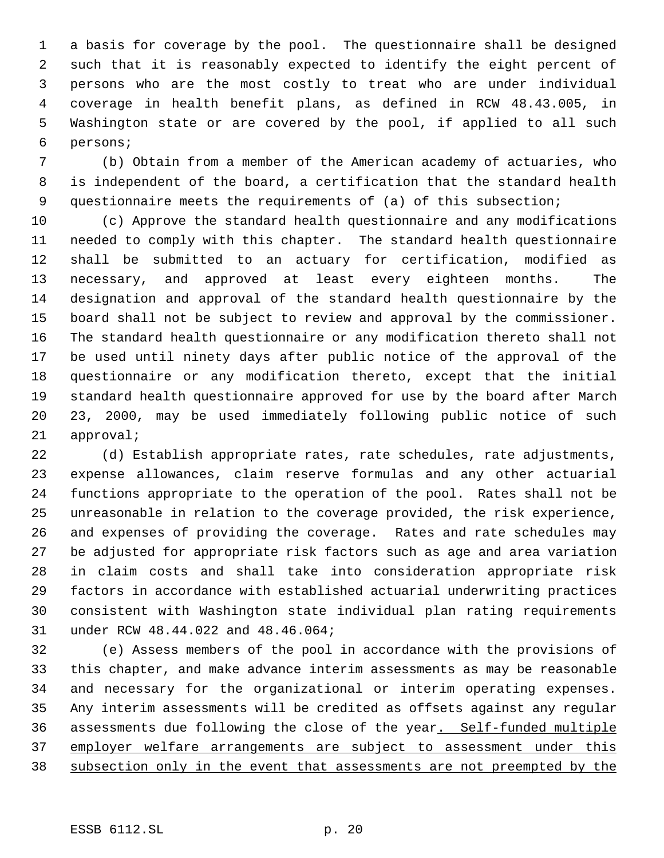a basis for coverage by the pool. The questionnaire shall be designed such that it is reasonably expected to identify the eight percent of persons who are the most costly to treat who are under individual coverage in health benefit plans, as defined in RCW 48.43.005, in Washington state or are covered by the pool, if applied to all such persons;

 (b) Obtain from a member of the American academy of actuaries, who is independent of the board, a certification that the standard health questionnaire meets the requirements of (a) of this subsection;

 (c) Approve the standard health questionnaire and any modifications needed to comply with this chapter. The standard health questionnaire shall be submitted to an actuary for certification, modified as necessary, and approved at least every eighteen months. The designation and approval of the standard health questionnaire by the board shall not be subject to review and approval by the commissioner. The standard health questionnaire or any modification thereto shall not be used until ninety days after public notice of the approval of the questionnaire or any modification thereto, except that the initial standard health questionnaire approved for use by the board after March 23, 2000, may be used immediately following public notice of such approval;

 (d) Establish appropriate rates, rate schedules, rate adjustments, expense allowances, claim reserve formulas and any other actuarial functions appropriate to the operation of the pool. Rates shall not be unreasonable in relation to the coverage provided, the risk experience, and expenses of providing the coverage. Rates and rate schedules may be adjusted for appropriate risk factors such as age and area variation in claim costs and shall take into consideration appropriate risk factors in accordance with established actuarial underwriting practices consistent with Washington state individual plan rating requirements under RCW 48.44.022 and 48.46.064;

 (e) Assess members of the pool in accordance with the provisions of this chapter, and make advance interim assessments as may be reasonable and necessary for the organizational or interim operating expenses. Any interim assessments will be credited as offsets against any regular assessments due following the close of the year. Self-funded multiple 37 employer welfare arrangements are subject to assessment under this subsection only in the event that assessments are not preempted by the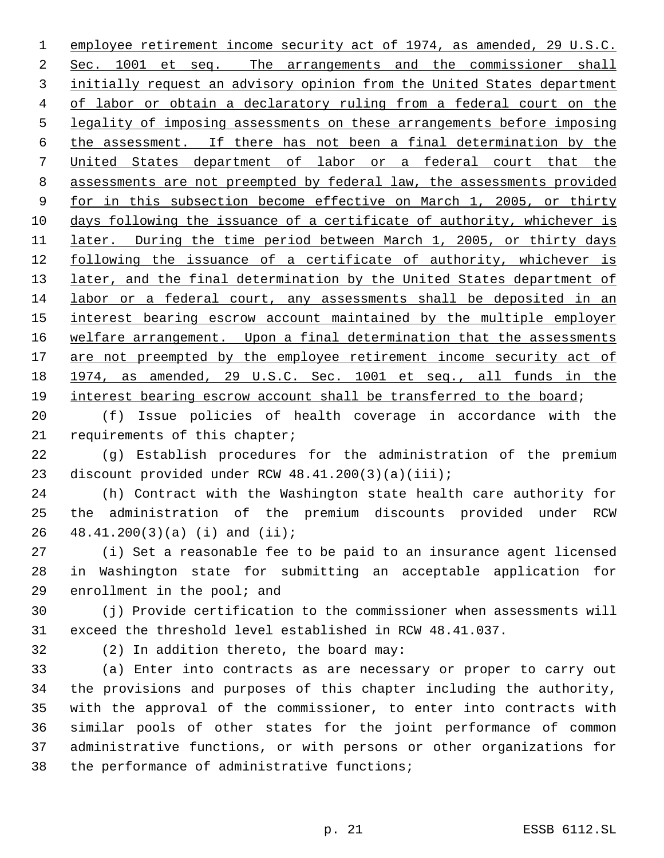employee retirement income security act of 1974, as amended, 29 U.S.C. Sec. 1001 et seq. The arrangements and the commissioner shall initially request an advisory opinion from the United States department 4 of labor or obtain a declaratory ruling from a federal court on the legality of imposing assessments on these arrangements before imposing the assessment. If there has not been a final determination by the United States department of labor or a federal court that the assessments are not preempted by federal law, the assessments provided 9 for in this subsection become effective on March 1, 2005, or thirty days following the issuance of a certificate of authority, whichever is later. During the time period between March 1, 2005, or thirty days 12 following the issuance of a certificate of authority, whichever is 13 later, and the final determination by the United States department of labor or a federal court, any assessments shall be deposited in an 15 interest bearing escrow account maintained by the multiple employer 16 welfare arrangement. Upon a final determination that the assessments 17 are not preempted by the employee retirement income security act of 1974, as amended, 29 U.S.C. Sec. 1001 et seq., all funds in the interest bearing escrow account shall be transferred to the board;

 (f) Issue policies of health coverage in accordance with the requirements of this chapter;

 (g) Establish procedures for the administration of the premium 23 discount provided under RCW 48.41.200(3)(a)(iii);

 (h) Contract with the Washington state health care authority for the administration of the premium discounts provided under RCW 48.41.200(3)(a) (i) and (ii);

 (i) Set a reasonable fee to be paid to an insurance agent licensed in Washington state for submitting an acceptable application for enrollment in the pool; and

 (j) Provide certification to the commissioner when assessments will exceed the threshold level established in RCW 48.41.037.

(2) In addition thereto, the board may:

 (a) Enter into contracts as are necessary or proper to carry out the provisions and purposes of this chapter including the authority, with the approval of the commissioner, to enter into contracts with similar pools of other states for the joint performance of common administrative functions, or with persons or other organizations for the performance of administrative functions;